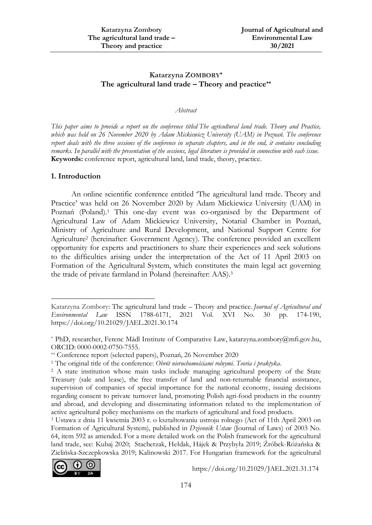# **Katarzyna ZOMBORY\* The agricultural land trade – Theory and practice\*\***

#### *Abstract*

This paper aims to provide a report on the conference titled The agricultural land trade. Theory and Practice, *which was held on 26 November 2020 by Adam Mickiewicz University (UAM) in Poznań. The conference* report deals with the three sessions of the conference in separate chapters, and in the end, it contains concluding remarks. In parallel with the presentation of the sessions, legal literature is provided in connection with each issue. **Keywords:** conference report, agricultural land, land trade, theory, practice.

## **1. Introduction**

 $\ddot{\phantom{a}}$ 

An online scientific conference entitled 'The agricultural land trade. Theory and Practice' was held on 26 November 2020 by Adam Mickiewicz University (UAM) in Poznań (Poland).<sup>1</sup> This one-day event was co-organised by the Department of Agricultural Law of Adam Mickiewicz University, Notarial Chamber in Poznań, Ministry of Agriculture and Rural Development, and National Support Centre for Agriculture<sup>2</sup> (hereinafter: Government Agency). The conference provided an excellent opportunity for experts and practitioners to share their experiences and seek solutions to the difficulties arising under the interpretation of the Act of 11 April 2003 on Formation of the Agricultural System, which constitutes the main legal act governing the trade of private farmland in Poland (hereinafter: AAS).<sup>3</sup>

<sup>3</sup> Ustawa z dnia 11 kwietnia 2003 r. o kształtowaniu ustroju rolnego (Act of 11th April 2003 on Formation of Agricultural System), published in *Dziennik Ustaw* (Journal of Laws) of 2003 No. 64, item 592 as amended. For a more detailed work on the Polish framework for the agricultural land trade, see: Kubaj 2020; Stacherzak, Hełdak, Hájek & Przybyła 2019; Źróbek-Różańska & Zielińska-Szczepkowska 2019; Kalinowski 2017. For Hungarian framework for the agricultural



https://doi.org/10.21029/JAEL.2021.31.174

Katarzyna Zombory: The agricultural land trade – Theory and practice. *Journal of Agricultural and Environmental Law* ISSN 1788-6171, 2021 Vol. XVI No. 30 pp. 174-190, https://doi.org/10.21029/JAEL.2021.30.174

<sup>\*</sup> PhD, researcher, Ferenc Mádl Institute of Comparative Law, katarzyna.zombory@mfi.gov.hu, ORCID: 0000-0002-0750-7555.

<sup>\*\*</sup> Conference report (selected papers), Poznań, 26 November 2020

<sup>1</sup> The original title of the conference: *Obrót nieruchomościami rolnymi. Teoria i praktyka*.

<sup>2</sup> A state institution whose main tasks include managing agricultural property of the State Treasury (sale and lease), the free transfer of land and non-returnable financial assistance, supervision of companies of special importance for the national economy, issuing decisions regarding consent to private turnover land, promoting Polish agri-food products in the country and abroad, and developing and disseminating information related to the implementation of active agricultural policy mechanisms on the markets of agricultural and food products.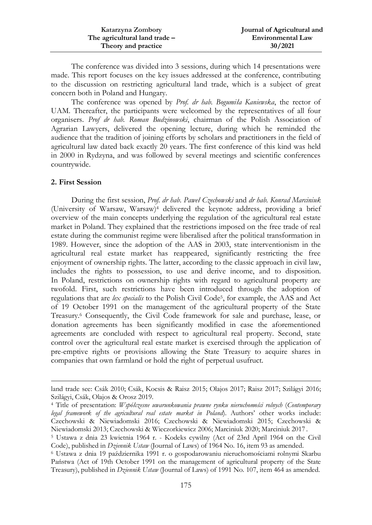| Katarzyna Zombory             | Journal of Agricultural and |
|-------------------------------|-----------------------------|
| The agricultural land trade – | <b>Environmental Law</b>    |
| Theory and practice           | 30/2021                     |

The conference was divided into 3 sessions, during which 14 presentations were made. This report focuses on the key issues addressed at the conference, contributing to the discussion on restricting agricultural land trade, which is a subject of great concern both in Poland and Hungary.

The conference was opened by *Prof. dr hab. Bogumiła Kaniewska*, the rector of UAM. Thereafter, the participants were welcomed by the representatives of all four organisers. *Prof dr hab. Roman Budzinowski*, chairman of the Polish Association of Agrarian Lawyers, delivered the opening lecture, during which he reminded the audience that the tradition of joining efforts by scholars and practitioners in the field of agricultural law dated back exactly 20 years. The first conference of this kind was held in 2000 in Rydzyna, and was followed by several meetings and scientific conferences countrywide.

#### **2. First Session**

**.** 

During the first session, *Prof. dr hab. Paweł Czechowski* and *dr hab. Konrad Marciniuk* (University of Warsaw, Warsaw)<sup>4</sup> delivered the keynote address, providing a brief overview of the main concepts underlying the regulation of the agricultural real estate market in Poland. They explained that the restrictions imposed on the free trade of real estate during the communist regime were liberalised after the political transformation in 1989. However, since the adoption of the AAS in 2003, state interventionism in the agricultural real estate market has reappeared, significantly restricting the free enjoyment of ownership rights. The latter, according to the classic approach in civil law, includes the rights to possession, to use and derive income, and to disposition. In Poland, restrictions on ownership rights with regard to agricultural property are twofold. First, such restrictions have been introduced through the adoption of regulations that are *lex specialis* to the Polish Civil Code5, for example, the AAS and Act of 19 October 1991 on the management of the agricultural property of the State Treasury.<sup>6</sup> Consequently, the Civil Code framework for sale and purchase, lease, or donation agreements has been significantly modified in case the aforementioned agreements are concluded with respect to agricultural real property. Second, state control over the agricultural real estate market is exercised through the application of pre-emptive rights or provisions allowing the State Treasury to acquire shares in companies that own farmland or hold the right of perpetual usufruct.

land trade see: Csák 2010; Csák, Kocsis & Raisz 2015; Olajos 2017; Raisz 2017; Szilágyi 2016; Szilágyi, Csák, Olajos & Orosz 2019.

<sup>4</sup> Title of presentation: *Współczesne uwarunkowania prawne rynku nieruchomości rolnych* (*Contemporary legal framework of the agricultural real estate market in Poland*). Authors' other works include: Czechowski & Niewiadomski 2016; Czechowski & Niewiadomski 2015; Czechowski & Niewiadomski 2013; Czechowski & Wieczorkiewicz 2006; Marciniuk 2020; Marciniuk 2017 .

<sup>5</sup> Ustawa z dnia 23 kwietnia 1964 r. - Kodeks cywilny (Act of 23rd April 1964 on the Civil Code), published in *Dziennik Ustaw* (Journal of Laws) of 1964 No. 16, item 93 as amended.

<sup>6</sup> Ustawa z dnia 19 października 1991 r. o gospodarowaniu nieruchomościami rolnymi Skarbu Państwa (Act of 19th October 1991 on the management of agricultural property of the State Treasury), published in *Dziennik Ustaw* (Journal of Laws) of 1991 No. 107, item 464 as amended.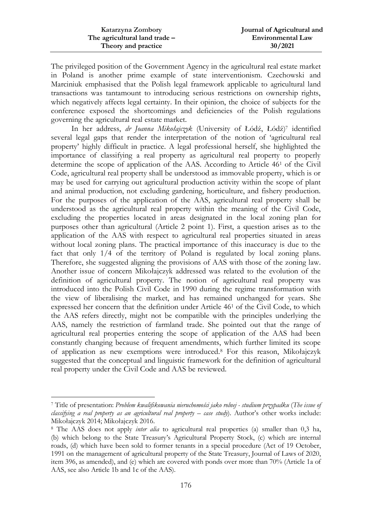| Katarzyna Zombory             | Journal of Agricultural and |
|-------------------------------|-----------------------------|
| The agricultural land trade – | <b>Environmental Law</b>    |
| Theory and practice           | 30/2021                     |

The privileged position of the Government Agency in the agricultural real estate market in Poland is another prime example of state interventionism. Czechowski and Marciniuk emphasised that the Polish legal framework applicable to agricultural land transactions was tantamount to introducing serious restrictions on ownership rights, which negatively affects legal certainty. In their opinion, the choice of subjects for the conference exposed the shortcomings and deficiencies of the Polish regulations governing the agricultural real estate market.

In her address, *dr Joanna Mikołajczyk* (University of Łódź, Łódź)<sup>7</sup> identified several legal gaps that render the interpretation of the notion of 'agricultural real property' highly difficult in practice. A legal professional herself, she highlighted the importance of classifying a real property as agricultural real property to properly determine the scope of application of the AAS. According to Article 46<sup>1</sup> of the Civil Code, agricultural real property shall be understood as immovable property, which is or may be used for carrying out agricultural production activity within the scope of plant and animal production, not excluding gardening, horticulture, and fishery production. For the purposes of the application of the AAS, agricultural real property shall be understood as the agricultural real property within the meaning of the Civil Code, excluding the properties located in areas designated in the local zoning plan for purposes other than agricultural (Article 2 point 1). First, a question arises as to the application of the AAS with respect to agricultural real properties situated in areas without local zoning plans. The practical importance of this inaccuracy is due to the fact that only 1/4 of the territory of Poland is regulated by local zoning plans. Therefore, she suggested aligning the provisions of AAS with those of the zoning law. Another issue of concern Mikołajczyk addressed was related to the evolution of the definition of agricultural property. The notion of agricultural real property was introduced into the Polish Civil Code in 1990 during the regime transformation with the view of liberalising the market, and has remained unchanged for years. She expressed her concern that the definition under Article 46<sup>1</sup> of the Civil Code, to which the AAS refers directly, might not be compatible with the principles underlying the AAS, namely the restriction of farmland trade. She pointed out that the range of agricultural real properties entering the scope of application of the AAS had been constantly changing because of frequent amendments, which further limited its scope of application as new exemptions were introduced.<sup>8</sup> For this reason, Mikołajczyk suggested that the conceptual and linguistic framework for the definition of agricultural real property under the Civil Code and AAS be reviewed.

 $\ddot{\phantom{a}}$ 

<sup>7</sup> Title of presentation: *Problem kwalifikowania nieruchomości jako rolnej - studium przypadku* (*The issue of classifying a real property as an agricultural real property – case study*). Author's other works include: Mikołajczyk 2014; Mikołajczyk 2016.

<sup>8</sup> The AAS does not apply *inter alia* to agricultural real properties (a) smaller than 0,3 ha, (b) which belong to the State Treasury's Agricultural Property Stock, (c) which are internal roads, (d) which have been sold to former tenants in a special procedure (Act of 19 October, 1991 on the management of agricultural property of the State Treasury, Journal of Laws of 2020, item 396, as amended), and (e) which are covered with ponds over more than 70% (Article 1a of AAS, see also Article 1b and 1c of the AAS).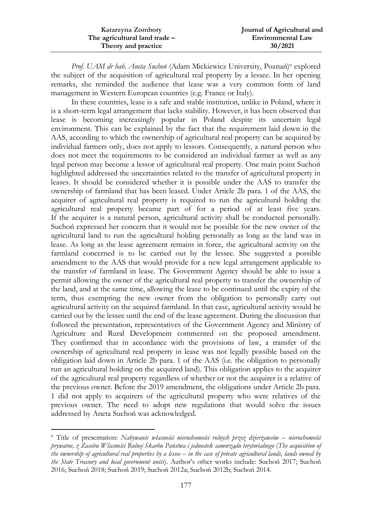| Katarzyna Zombory             | Journal of Agricultural and |
|-------------------------------|-----------------------------|
| The agricultural land trade – | <b>Environmental Law</b>    |
| Theory and practice           | 30/2021                     |

*Prof. UAM dr hab. Aneta Suchoń* (Adam Mickiewicz University, Poznań)<sup>9</sup> explored the subject of the acquisition of agricultural real property by a lessee. In her opening remarks, she reminded the audience that lease was a very common form of land management in Western European countries (e.g. France or Italy).

In these countries, lease is a safe and stable institution, unlike in Poland, where it is a short-term legal arrangement that lacks stability. However, it has been observed that lease is becoming increasingly popular in Poland despite its uncertain legal environment. This can be explained by the fact that the requirement laid down in the AAS, according to which the ownership of agricultural real property can be acquired by individual farmers only, does not apply to lessors. Consequently, a natural person who does not meet the requirements to be considered an individual farmer as well as any legal person may become a lessor of agricultural real property. One main point Suchoń highlighted addressed the uncertainties related to the transfer of agricultural property in leases. It should be considered whether it is possible under the AAS to transfer the ownership of farmland that has been leased. Under Article 2b para. 1 of the AAS, the acquirer of agricultural real property is required to run the agricultural holding the agricultural real property became part of for a period of at least five years. If the acquirer is a natural person, agricultural activity shall be conducted personally. Suchoń expressed her concern that it would not be possible for the new owner of the agricultural land to run the agricultural holding personally as long as the land was in lease. As long as the lease agreement remains in force, the agricultural activity on the farmland concerned is to be carried out by the lessee. She suggested a possible amendment to the AAS that would provide for a new legal arrangement applicable to the transfer of farmland in lease. The Government Agency should be able to issue a permit allowing the owner of the agricultural real property to transfer the ownership of the land, and at the same time, allowing the lease to be continued until the expiry of the term, thus exempting the new owner from the obligation to personally carry out agricultural activity on the acquired farmland. In that case, agricultural activity would be carried out by the lessee until the end of the lease agreement. During the discussion that followed the presentation, representatives of the Government Agency and Ministry of Agriculture and Rural Development commented on the proposed amendment. They confirmed that in accordance with the provisions of law, a transfer of the ownership of agricultural real property in lease was not legally possible based on the obligation laid down in Article 2b para. 1 of the AAS (i.e. the obligation to personally run an agricultural holding on the acquired land). This obligation applies to the acquirer of the agricultural real property regardless of whether or not the acquirer is a relative of the previous owner. Before the 2019 amendment, the obligations under Article 2b para. 1 did not apply to acquirers of the agricultural property who were relatives of the previous owner. The need to adopt new regulations that would solve the issues addressed by Aneta Suchoń was acknowledged.

1

<sup>9</sup> Title of presentation: *Nabywanie własności nieruchomości rolnych przez dzierżawców – nieruchomości prywatne, z Zasobu Własności Rolnej Skarbu Państwa i jednostek samorządu terytorialnego* (*The acquisition of the ownership of agricultural real properties by a lessee – in the case of private agricultural lands, lands owned by the State Treasury and local government units*). Author's other works include: Suchoń 2017; Suchoń 2016; Suchoń 2018; Suchoń 2019; Suchoń 2012a; Suchoń 2012b; Suchoń 2014.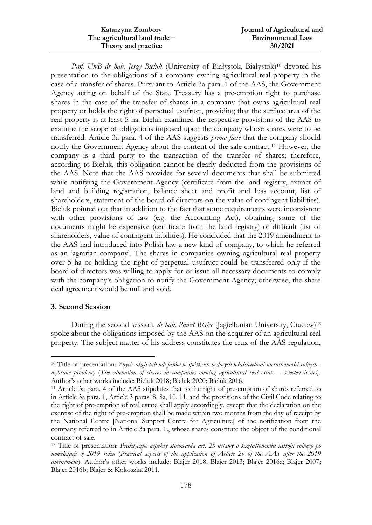| Katarzyna Zombory             | Journal of Agricultural and |
|-------------------------------|-----------------------------|
| The agricultural land trade – | <b>Environmental Law</b>    |
| Theory and practice           | 30/2021                     |

*Prof. UwB dr hab. Jerzy Bieluk* (University of Białystok, Białystok)<sup>10</sup> devoted his presentation to the obligations of a company owning agricultural real property in the case of a transfer of shares. Pursuant to Article 3a para. 1 of the AAS, the Government Agency acting on behalf of the State Treasury has a pre-emption right to purchase shares in the case of the transfer of shares in a company that owns agricultural real property or holds the right of perpetual usufruct, providing that the surface area of the real property is at least 5 ha. Bieluk examined the respective provisions of the AAS to examine the scope of obligations imposed upon the company whose shares were to be transferred. Article 3a para. 4 of the AAS suggests *prima facie* that the company should notify the Government Agency about the content of the sale contract.<sup>11</sup> However, the company is a third party to the transaction of the transfer of shares; therefore, according to Bieluk, this obligation cannot be clearly deducted from the provisions of the AAS. Note that the AAS provides for several documents that shall be submitted while notifying the Government Agency (certificate from the land registry, extract of land and building registration, balance sheet and profit and loss account, list of shareholders, statement of the board of directors on the value of contingent liabilities). Bieluk pointed out that in addition to the fact that some requirements were inconsistent with other provisions of law (e.g. the Accounting Act), obtaining some of the documents might be expensive (certificate from the land registry) or difficult (list of shareholders, value of contingent liabilities). He concluded that the 2019 amendment to the AAS had introduced into Polish law a new kind of company, to which he referred as an 'agrarian company'. The shares in companies owning agricultural real property over 5 ha or holding the right of perpetual usufruct could be transferred only if the board of directors was willing to apply for or issue all necessary documents to comply with the company's obligation to notify the Government Agency; otherwise, the share deal agreement would be null and void.

## **3. Second Session**

 $\ddot{\phantom{a}}$ 

During the second session, *dr hab. Paweł Blajer* (Jagiellonian University, Cracow)<sup>12</sup> spoke about the obligations imposed by the AAS on the acquirer of an agricultural real property. The subject matter of his address constitutes the crux of the AAS regulation,

<sup>10</sup> Title of presentation: *Zbycie akcji lub udziałów w spółkach będących właścicielami nieruchomości rolnych wybrane problemy* (*The alienation of shares in companies owning agricultural real estate – selected issues*). Author's other works include: Bieluk 2018; Bieluk 2020; Bieluk 2016.

<sup>11</sup> Article 3a para. 4 of the AAS stipulates that to the right of pre-emption of shares referred to in Article 3a para. 1, Article 3 paras. 8, 8a, 10, 11, and the provisions of the Civil Code relating to the right of pre-emption of real estate shall apply accordingly, except that the declaration on the exercise of the right of pre-emption shall be made within two months from the day of receipt by the National Centre [National Support Centre for Agriculture] of the notification from the company referred to in Article 3a para. 1., whose shares constitute the object of the conditional contract of sale.

<sup>12</sup> Title of presentation: *Praktyczne aspekty stosowania art. 2b ustawy o kształtowaniu ustroju rolnego po nowelizacji z 2019 roku* (*Practical aspects of the application of Article 2b of the AAS after the 2019 amendment*). Author's other works include: Blajer 2018; Blajer 2013; Blajer 2016a; Blajer 2007; Blajer 2016b; Blajer & Kokoszka 2011.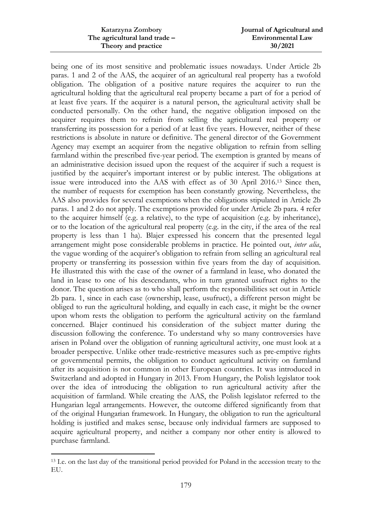| Katarzyna Zombory             | Journal of Agricultural and |
|-------------------------------|-----------------------------|
| The agricultural land trade - | <b>Environmental Law</b>    |
| Theory and practice           | 30/2021                     |

being one of its most sensitive and problematic issues nowadays. Under Article 2b paras. 1 and 2 of the AAS, the acquirer of an agricultural real property has a twofold obligation. The obligation of a positive nature requires the acquirer to run the agricultural holding that the agricultural real property became a part of for a period of at least five years. If the acquirer is a natural person, the agricultural activity shall be conducted personally. On the other hand, the negative obligation imposed on the acquirer requires them to refrain from selling the agricultural real property or transferring its possession for a period of at least five years. However, neither of these restrictions is absolute in nature or definitive. The general director of the Government Agency may exempt an acquirer from the negative obligation to refrain from selling farmland within the prescribed five-year period. The exemption is granted by means of an administrative decision issued upon the request of the acquirer if such a request is justified by the acquirer's important interest or by public interest. The obligations at issue were introduced into the AAS with effect as of 30 April 2016.<sup>13</sup> Since then, the number of requests for exemption has been constantly growing. Nevertheless, the AAS also provides for several exemptions when the obligations stipulated in Article 2b paras. 1 and 2 do not apply. The exemptions provided for under Article 2b para. 4 refer to the acquirer himself (e.g. a relative), to the type of acquisition (e.g. by inheritance), or to the location of the agricultural real property (e.g. in the city, if the area of the real property is less than 1 ha). Blajer expressed his concern that the presented legal arrangement might pose considerable problems in practice. He pointed out, *inter alia*, the vague wording of the acquirer's obligation to refrain from selling an agricultural real property or transferring its possession within five years from the day of acquisition. He illustrated this with the case of the owner of a farmland in lease, who donated the land in lease to one of his descendants, who in turn granted usufruct rights to the donor. The question arises as to who shall perform the responsibilities set out in Article 2b para. 1, since in each case (ownership, lease, usufruct), a different person might be obliged to run the agricultural holding, and equally in each case, it might be the owner upon whom rests the obligation to perform the agricultural activity on the farmland concerned. Blajer continued his consideration of the subject matter during the discussion following the conference. To understand why so many controversies have arisen in Poland over the obligation of running agricultural activity, one must look at a broader perspective. Unlike other trade-restrictive measures such as pre-emptive rights or governmental permits, the obligation to conduct agricultural activity on farmland after its acquisition is not common in other European countries. It was introduced in Switzerland and adopted in Hungary in 2013. From Hungary, the Polish legislator took over the idea of introducing the obligation to run agricultural activity after the acquisition of farmland. While creating the AAS, the Polish legislator referred to the Hungarian legal arrangements. However, the outcome differed significantly from that of the original Hungarian framework. In Hungary, the obligation to run the agricultural holding is justified and makes sense, because only individual farmers are supposed to acquire agricultural property, and neither a company nor other entity is allowed to purchase farmland.

 $\overline{a}$ 

<sup>13</sup> I.e. on the last day of the transitional period provided for Poland in the accession treaty to the EU.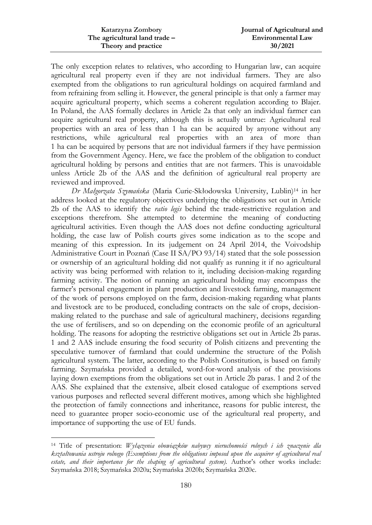| Katarzyna Zombory             | Journal of Agricultural and |
|-------------------------------|-----------------------------|
| The agricultural land trade – | <b>Environmental Law</b>    |
| Theory and practice           | 30/2021                     |

The only exception relates to relatives, who according to Hungarian law, can acquire agricultural real property even if they are not individual farmers. They are also exempted from the obligations to run agricultural holdings on acquired farmland and from refraining from selling it. However, the general principle is that only a farmer may acquire agricultural property, which seems a coherent regulation according to Blajer. In Poland, the AAS formally declares in Article 2a that only an individual farmer can acquire agricultural real property, although this is actually untrue: Agricultural real properties with an area of less than 1 ha can be acquired by anyone without any restrictions, while agricultural real properties with an area of more than 1 ha can be acquired by persons that are not individual farmers if they have permission from the Government Agency. Here, we face the problem of the obligation to conduct agricultural holding by persons and entities that are not farmers. This is unavoidable unless Article 2b of the AAS and the definition of agricultural real property are reviewed and improved.

*Dr Małgorzata Szymańska* (Maria Curie-Skłodowska University, Lublin)<sup>14</sup> in her address looked at the regulatory objectives underlying the obligations set out in Article 2b of the AAS to identify the *ratio legis* behind the trade-restrictive regulation and exceptions therefrom. She attempted to determine the meaning of conducting agricultural activities. Even though the AAS does not define conducting agricultural holding, the case law of Polish courts gives some indication as to the scope and meaning of this expression. In its judgement on 24 April 2014, the Voivodship Administrative Court in Poznań (Case II SA/PO 93/14) stated that the sole possession or ownership of an agricultural holding did not qualify as running it if no agricultural activity was being performed with relation to it, including decision-making regarding farming activity. The notion of running an agricultural holding may encompass the farmer's personal engagement in plant production and livestock farming, management of the work of persons employed on the farm, decision-making regarding what plants and livestock are to be produced, concluding contracts on the sale of crops, decisionmaking related to the purchase and sale of agricultural machinery, decisions regarding the use of fertilisers, and so on depending on the economic profile of an agricultural holding. The reasons for adopting the restrictive obligations set out in Article 2b paras. 1 and 2 AAS include ensuring the food security of Polish citizens and preventing the speculative turnover of farmland that could undermine the structure of the Polish agricultural system. The latter, according to the Polish Constitution, is based on family farming. Szymańska provided a detailed, word-for-word analysis of the provisions laying down exemptions from the obligations set out in Article 2b paras. 1 and 2 of the AAS. She explained that the extensive, albeit closed catalogue of exemptions served various purposes and reflected several different motives, among which she highlighted the protection of family connections and inheritance, reasons for public interest, the need to guarantee proper socio-economic use of the agricultural real property, and importance of supporting the use of EU funds.

1

<sup>14</sup> Title of presentation: *Wyłączenia obowiązków nabywcy nieruchomości rolnych i ich znaczenie dla kształtowania ustroju rolnego (Exemptions from the obligations imposed upon the acquirer of agricultural real estate, and their importance for the shaping of agricultural system)*. Author's other works include: Szymańska 2018; Szymańska 2020a; Szymańska 2020b; Szymańska 2020c.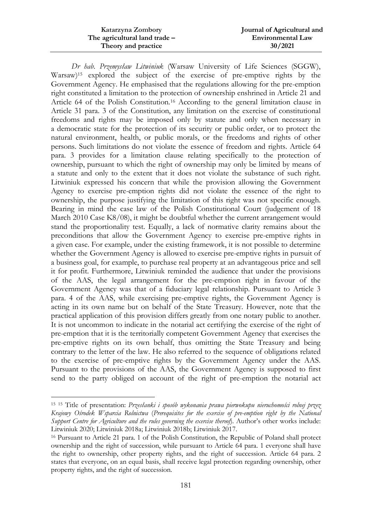| Katarzyna Zombory             | Journal of Agricultural and |
|-------------------------------|-----------------------------|
| The agricultural land trade – | <b>Environmental Law</b>    |
| Theory and practice           | 30/2021                     |

*Dr hab. Przemysław Litwiniuk* (Warsaw University of Life Sciences (SGGW), Warsaw)<sup>15</sup> explored the subject of the exercise of pre-emptive rights by the Government Agency. He emphasised that the regulations allowing for the pre-emption right constituted a limitation to the protection of ownership enshrined in Article 21 and Article 64 of the Polish Constitution.<sup>16</sup> According to the general limitation clause in Article 31 para. 3 of the Constitution, any limitation on the exercise of constitutional freedoms and rights may be imposed only by statute and only when necessary in a democratic state for the protection of its security or public order, or to protect the natural environment, health, or public morals, or the freedoms and rights of other persons. Such limitations do not violate the essence of freedom and rights. Article 64 para. 3 provides for a limitation clause relating specifically to the protection of ownership, pursuant to which the right of ownership may only be limited by means of a statute and only to the extent that it does not violate the substance of such right. Litwiniuk expressed his concern that while the provision allowing the Government Agency to exercise pre-emption rights did not violate the essence of the right to ownership, the purpose justifying the limitation of this right was not specific enough. Bearing in mind the case law of the Polish Constitutional Court (judgement of 18 March 2010 Case K8/08), it might be doubtful whether the current arrangement would stand the proportionality test. Equally, a lack of normative clarity remains about the preconditions that allow the Government Agency to exercise pre-emptive rights in a given case. For example, under the existing framework, it is not possible to determine whether the Government Agency is allowed to exercise pre-emptive rights in pursuit of a business goal, for example, to purchase real property at an advantageous price and sell it for profit. Furthermore, Litwiniuk reminded the audience that under the provisions of the AAS, the legal arrangement for the pre-emption right in favour of the Government Agency was that of a fiduciary legal relationship. Pursuant to Article 3 para. 4 of the AAS, while exercising pre-emptive rights, the Government Agency is acting in its own name but on behalf of the State Treasury. However, note that the practical application of this provision differs greatly from one notary public to another. It is not uncommon to indicate in the notarial act certifying the exercise of the right of pre-emption that it is the territorially competent Government Agency that exercises the pre-emptive rights on its own behalf, thus omitting the State Treasury and being contrary to the letter of the law. He also referred to the sequence of obligations related to the exercise of pre-emptive rights by the Government Agency under the AAS. Pursuant to the provisions of the AAS, the Government Agency is supposed to first send to the party obliged on account of the right of pre-emption the notarial act

 $\ddot{\phantom{a}}$ 

<sup>15</sup> <sup>15</sup> Title of presentation: *Przesłanki i sposób wykonania prawa pierwokupu nieruchomości rolnej przez Krajowy Ośrodek Wsparcia Rolnictwa* (*Prerequisites for the exercise of pre-emption right by the National Support Centre for Agriculture and the rules governing the exercise thereof*). Author's other works include: Litwiniuk 2020; Litwiniuk 2018a; Litwiniuk 2018b; Litwiniuk 2017.

<sup>16</sup> Pursuant to Article 21 para. 1 of the Polish Constitution, the Republic of Poland shall protect ownership and the right of succession, while pursuant to Article 64 para. 1 everyone shall have the right to ownership, other property rights, and the right of succession. Article 64 para. 2 states that everyone, on an equal basis, shall receive legal protection regarding ownership, other property rights, and the right of succession.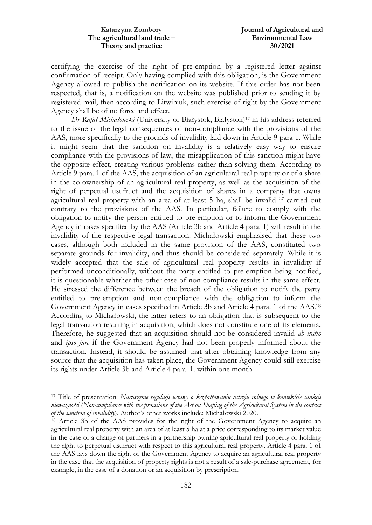| Katarzyna Zombory             | Journal of Agricultural and |
|-------------------------------|-----------------------------|
| The agricultural land trade – | <b>Environmental Law</b>    |
| Theory and practice           | 30/2021                     |

certifying the exercise of the right of pre-emption by a registered letter against confirmation of receipt. Only having complied with this obligation, is the Government Agency allowed to publish the notification on its website. If this order has not been respected, that is, a notification on the website was published prior to sending it by registered mail, then according to Litwiniuk, such exercise of right by the Government Agency shall be of no force and effect.

*Dr Rafał Michałowski* (University of Białystok, Białystok)<sup>17</sup> in his address referred to the issue of the legal consequences of non-compliance with the provisions of the AAS, more specifically to the grounds of invalidity laid down in Article 9 para 1. While it might seem that the sanction on invalidity is a relatively easy way to ensure compliance with the provisions of law, the misapplication of this sanction might have the opposite effect, creating various problems rather than solving them. According to Article 9 para. 1 of the AAS, the acquisition of an agricultural real property or of a share in the co-ownership of an agricultural real property, as well as the acquisition of the right of perpetual usufruct and the acquisition of shares in a company that owns agricultural real property with an area of at least 5 ha, shall be invalid if carried out contrary to the provisions of the AAS. In particular, failure to comply with the obligation to notify the person entitled to pre-emption or to inform the Government Agency in cases specified by the AAS (Article 3b and Article 4 para. 1) will result in the invalidity of the respective legal transaction. Michałowski emphasised that these two cases, although both included in the same provision of the AAS, constituted two separate grounds for invalidity, and thus should be considered separately. While it is widely accepted that the sale of agricultural real property results in invalidity if performed unconditionally, without the party entitled to pre-emption being notified, it is questionable whether the other case of non-compliance results in the same effect. He stressed the difference between the breach of the obligation to notify the party entitled to pre-emption and non-compliance with the obligation to inform the Government Agency in cases specified in Article 3b and Article 4 para. 1 of the AAS.<sup>18</sup> According to Michałowski, the latter refers to an obligation that is subsequent to the legal transaction resulting in acquisition, which does not constitute one of its elements. Therefore, he suggested that an acquisition should not be considered invalid *ab initio* and *ipso jure* if the Government Agency had not been properly informed about the transaction. Instead, it should be assumed that after obtaining knowledge from any source that the acquisition has taken place, the Government Agency could still exercise its rights under Article 3b and Article 4 para. 1. within one month.

 $\overline{a}$ 

<sup>17</sup> Title of presentation: *Naruszenie regulacji ustawy o kształtowaniu ustroju rolnego w kontekście sankcji nieważności* (*Non-compliance with the provisions of the Act on Shaping of the Agricultural System in the context of the sanction of invalidity*). Author's other works include: Michałowski 2020.

<sup>&</sup>lt;sup>18</sup> Article 3b of the AAS provides for the right of the Government Agency to acquire an agricultural real property with an area of at least 5 ha at a price corresponding to its market value in the case of a change of partners in a partnership owning agricultural real property or holding the right to perpetual usufruct with respect to this agricultural real property. Article 4 para. 1 of the AAS lays down the right of the Government Agency to acquire an agricultural real property in the case that the acquisition of property rights is not a result of a sale-purchase agreement, for example, in the case of a donation or an acquisition by prescription.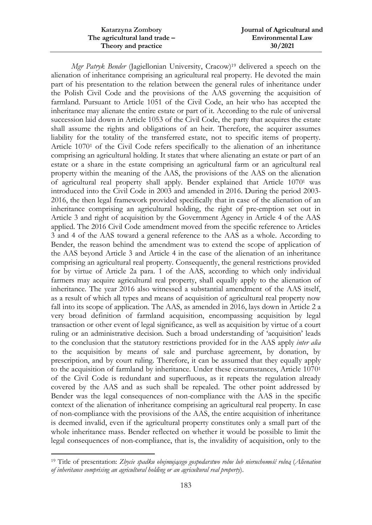| Katarzyna Zombory             | Journal of Agricultural and |
|-------------------------------|-----------------------------|
| The agricultural land trade – | <b>Environmental Law</b>    |
| Theory and practice           | 30/2021                     |

*Mgr Patryk Bender* (Jagiellonian University, Cracow)<sup>19</sup> delivered a speech on the alienation of inheritance comprising an agricultural real property. He devoted the main part of his presentation to the relation between the general rules of inheritance under the Polish Civil Code and the provisions of the AAS governing the acquisition of farmland. Pursuant to Article 1051 of the Civil Code, an heir who has accepted the inheritance may alienate the entire estate or part of it. According to the rule of universal succession laid down in Article 1053 of the Civil Code, the party that acquires the estate shall assume the rights and obligations of an heir. Therefore, the acquirer assumes liability for the totality of the transferred estate, not to specific items of property. Article 1070<sup>1</sup> of the Civil Code refers specifically to the alienation of an inheritance comprising an agricultural holding. It states that where alienating an estate or part of an estate or a share in the estate comprising an agricultural farm or an agricultural real property within the meaning of the AAS, the provisions of the AAS on the alienation of agricultural real property shall apply. Bender explained that Article 1070<sup>1</sup> was introduced into the Civil Code in 2003 and amended in 2016. During the period 2003- 2016, the then legal framework provided specifically that in case of the alienation of an inheritance comprising an agricultural holding, the right of pre-emption set out in Article 3 and right of acquisition by the Government Agency in Article 4 of the AAS applied. The 2016 Civil Code amendment moved from the specific reference to Articles 3 and 4 of the AAS toward a general reference to the AAS as a whole. According to Bender, the reason behind the amendment was to extend the scope of application of the AAS beyond Article 3 and Article 4 in the case of the alienation of an inheritance comprising an agricultural real property. Consequently, the general restrictions provided for by virtue of Article 2a para. 1 of the AAS, according to which only individual farmers may acquire agricultural real property, shall equally apply to the alienation of inheritance. The year 2016 also witnessed a substantial amendment of the AAS itself, as a result of which all types and means of acquisition of agricultural real property now fall into its scope of application. The AAS, as amended in 2016, lays down in Article 2 a very broad definition of farmland acquisition, encompassing acquisition by legal transaction or other event of legal significance, as well as acquisition by virtue of a court ruling or an administrative decision. Such a broad understanding of 'acquisition' leads to the conclusion that the statutory restrictions provided for in the AAS apply *inter alia* to the acquisition by means of sale and purchase agreement, by donation, by prescription, and by court ruling. Therefore, it can be assumed that they equally apply to the acquisition of farmland by inheritance. Under these circumstances, Article 1070<sup>1</sup> of the Civil Code is redundant and superfluous, as it repeats the regulation already covered by the AAS and as such shall be repealed. The other point addressed by Bender was the legal consequences of non-compliance with the AAS in the specific context of the alienation of inheritance comprising an agricultural real property. In case of non-compliance with the provisions of the AAS, the entire acquisition of inheritance is deemed invalid, even if the agricultural property constitutes only a small part of the whole inheritance mass. Bender reflected on whether it would be possible to limit the legal consequences of non-compliance, that is, the invalidity of acquisition, only to the

 $\overline{a}$ 

<sup>19</sup> Title of presentation: *Zbycie spadku obejmującego gospodarstwo rolne lub nieruchomość rolną* (*Alienation of inheritance comprising an agricultural holding or an agricultural real property*).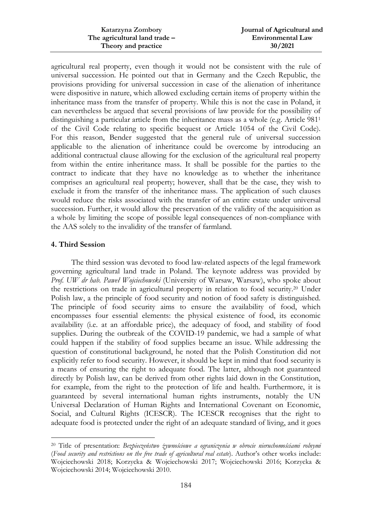| Katarzyna Zombory             | Journal of Agricultural and |
|-------------------------------|-----------------------------|
| The agricultural land trade – | <b>Environmental Law</b>    |
| Theory and practice           | 30/2021                     |

agricultural real property, even though it would not be consistent with the rule of universal succession. He pointed out that in Germany and the Czech Republic, the provisions providing for universal succession in case of the alienation of inheritance were dispositive in nature, which allowed excluding certain items of property within the inheritance mass from the transfer of property. While this is not the case in Poland, it can nevertheless be argued that several provisions of law provide for the possibility of distinguishing a particular article from the inheritance mass as a whole (e.g. Article 981<sup>1</sup> of the Civil Code relating to specific bequest or Article 1054 of the Civil Code). For this reason, Bender suggested that the general rule of universal succession applicable to the alienation of inheritance could be overcome by introducing an additional contractual clause allowing for the exclusion of the agricultural real property from within the entire inheritance mass. It shall be possible for the parties to the contract to indicate that they have no knowledge as to whether the inheritance comprises an agricultural real property; however, shall that be the case, they wish to exclude it from the transfer of the inheritance mass. The application of such clauses would reduce the risks associated with the transfer of an entire estate under universal succession. Further, it would allow the preservation of the validity of the acquisition as a whole by limiting the scope of possible legal consequences of non-compliance with the AAS solely to the invalidity of the transfer of farmland.

#### **4. Third Session**

1

The third session was devoted to food law-related aspects of the legal framework governing agricultural land trade in Poland. The keynote address was provided by *Prof. UW dr hab. Paweł Wojciechowski* (University of Warsaw, Warsaw), who spoke about the restrictions on trade in agricultural property in relation to food security.<sup>20</sup> Under Polish law, a the principle of food security and notion of food safety is distinguished. The principle of food security aims to ensure the availability of food, which encompasses four essential elements: the physical existence of food, its economic availability (i.e. at an affordable price), the adequacy of food, and stability of food supplies. During the outbreak of the COVID-19 pandemic, we had a sample of what could happen if the stability of food supplies became an issue. While addressing the question of constitutional background, he noted that the Polish Constitution did not explicitly refer to food security. However, it should be kept in mind that food security is a means of ensuring the right to adequate food. The latter, although not guaranteed directly by Polish law, can be derived from other rights laid down in the Constitution, for example, from the right to the protection of life and health. Furthermore, it is guaranteed by several international human rights instruments, notably the UN Universal Declaration of Human Rights and International Covenant on Economic, Social, and Cultural Rights (ICESCR). The ICESCR recognises that the right to adequate food is protected under the right of an adequate standard of living, and it goes

<sup>20</sup> Title of presentation: *Bezpieczeństwo żywnościowe a ograniczenia w obrocie nieruchomościami rolnymi* (*Food security and restrictions on the free trade of agricultural real estate*). Author's other works include: Wojciechowski 2018; Korzycka & Wojciechowski 2017; Wojciechowski 2016; Korzycka & Wojciechowski 2014; Wojciechowski 2010.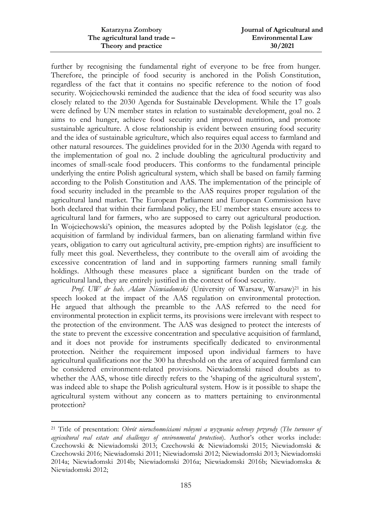| Katarzyna Zombory             | Journal of Agricultural and |
|-------------------------------|-----------------------------|
| The agricultural land trade - | <b>Environmental Law</b>    |
| Theory and practice           | 30/2021                     |

further by recognising the fundamental right of everyone to be free from hunger. Therefore, the principle of food security is anchored in the Polish Constitution, regardless of the fact that it contains no specific reference to the notion of food security. Wojciechowski reminded the audience that the idea of food security was also closely related to the 2030 Agenda for Sustainable Development. While the 17 goals were defined by UN member states in relation to sustainable development, goal no. 2 aims to end hunger, achieve food security and improved nutrition, and promote sustainable agriculture. A close relationship is evident between ensuring food security and the idea of sustainable agriculture, which also requires equal access to farmland and other natural resources. The guidelines provided for in the 2030 Agenda with regard to the implementation of goal no. 2 include doubling the agricultural productivity and incomes of small-scale food producers. This conforms to the fundamental principle underlying the entire Polish agricultural system, which shall be based on family farming according to the Polish Constitution and AAS. The implementation of the principle of food security included in the preamble to the AAS requires proper regulation of the agricultural land market. The European Parliament and European Commission have both declared that within their farmland policy, the EU member states ensure access to agricultural land for farmers, who are supposed to carry out agricultural production. In Wojciechowski's opinion, the measures adopted by the Polish legislator (e.g. the acquisition of farmland by individual farmers, ban on alienating farmland within five years, obligation to carry out agricultural activity, pre-emption rights) are insufficient to fully meet this goal. Nevertheless, they contribute to the overall aim of avoiding the excessive concentration of land and in supporting farmers running small family holdings. Although these measures place a significant burden on the trade of agricultural land, they are entirely justified in the context of food security.

Prof. UW dr hab. Adam Niewiadomski (University of Warsaw, Warsaw)<sup>21</sup> in his speech looked at the impact of the AAS regulation on environmental protection. He argued that although the preamble to the AAS referred to the need for environmental protection in explicit terms, its provisions were irrelevant with respect to the protection of the environment. The AAS was designed to protect the interests of the state to prevent the excessive concentration and speculative acquisition of farmland, and it does not provide for instruments specifically dedicated to environmental protection. Neither the requirement imposed upon individual farmers to have agricultural qualifications nor the 300 ha threshold on the area of acquired farmland can be considered environment-related provisions. Niewiadomski raised doubts as to whether the AAS, whose title directly refers to the 'shaping of the agricultural system', was indeed able to shape the Polish agricultural system. How is it possible to shape the agricultural system without any concern as to matters pertaining to environmental protection?

 $\ddot{\phantom{a}}$ 

<sup>21</sup> Title of presentation: *Obrót nieruchomościami rolnymi a wyzwania ochrony przyrody* (*The turnover of agricultural real estate and challenges of environmental protection*). Author's other works include: Czechowski & Niewiadomski 2013; Czechowski & Niewiadomski 2015; Niewiadomski & Czechowski 2016; Niewiadomski 2011; Niewiadomski 2012; Niewiadomski 2013; Niewiadomski 2014a; Niewiadomski 2014b; Niewiadomski 2016a; Niewiadomski 2016b; Niewiadomska & Niewiadomski 2012;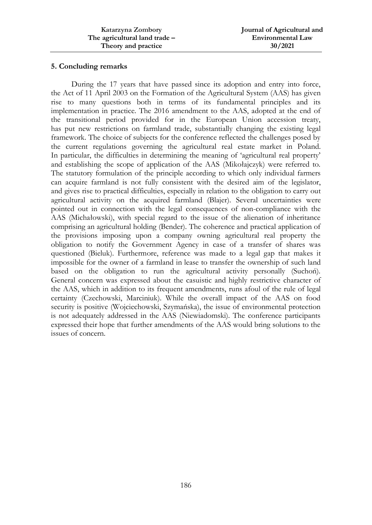### **5. Concluding remarks**

During the 17 years that have passed since its adoption and entry into force, the Act of 11 April 2003 on the Formation of the Agricultural System (AAS) has given rise to many questions both in terms of its fundamental principles and its implementation in practice. The 2016 amendment to the AAS, adopted at the end of the transitional period provided for in the European Union accession treaty, has put new restrictions on farmland trade, substantially changing the existing legal framework. The choice of subjects for the conference reflected the challenges posed by the current regulations governing the agricultural real estate market in Poland. In particular, the difficulties in determining the meaning of 'agricultural real property' and establishing the scope of application of the AAS (Mikołajczyk) were referred to. The statutory formulation of the principle according to which only individual farmers can acquire farmland is not fully consistent with the desired aim of the legislator, and gives rise to practical difficulties, especially in relation to the obligation to carry out agricultural activity on the acquired farmland (Blajer). Several uncertainties were pointed out in connection with the legal consequences of non-compliance with the AAS (Michałowski), with special regard to the issue of the alienation of inheritance comprising an agricultural holding (Bender). The coherence and practical application of the provisions imposing upon a company owning agricultural real property the obligation to notify the Government Agency in case of a transfer of shares was questioned (Bieluk). Furthermore, reference was made to a legal gap that makes it impossible for the owner of a farmland in lease to transfer the ownership of such land based on the obligation to run the agricultural activity personally (Suchoń). General concern was expressed about the casuistic and highly restrictive character of the AAS, which in addition to its frequent amendments, runs afoul of the rule of legal certainty (Czechowski, Marciniuk). While the overall impact of the AAS on food security is positive (Wojciechowski, Szymańska), the issue of environmental protection is not adequately addressed in the AAS (Niewiadomski). The conference participants expressed their hope that further amendments of the AAS would bring solutions to the issues of concern.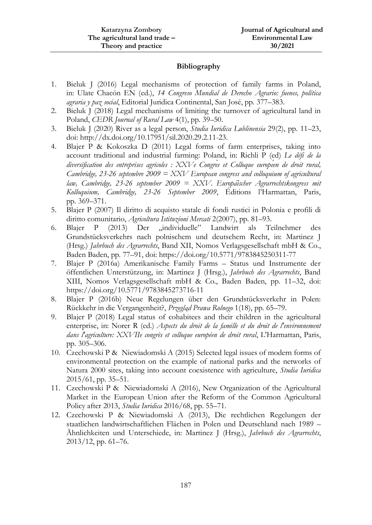# **Bibliography**

- 1. Bieluk J (2016) Legal mechanisms of protection of family farms in Poland, in: Ulate Chacón EN (ed.), *14 Congreso Mundial de Derecho Agrario: fuenes, política agraria y paz social*, Editorial Juridica Continental, San José, pp. 377–383.
- 2. Bieluk J (2018) Legal mechanisms of limiting the turnover of agricultural land in Poland, *CEDR Journal of Rural Law* 4(1), pp. 39–50.
- 3. Bieluk J (2020) River as a legal person, *Studia Iuridica Lublinensia* 29(2), pp. 11–23, doi: http://dx.doi.org/10.17951/sil.2020.29.2.11-23.
- 4. Blajer P & Kokoszka D (2011) Legal forms of farm enterprises, taking into account traditional and industrial farming: Poland, in: Richli P (ed) *Le défi de la diversification des entreprises agricoles : XXVe Congrès et Colloque européen de droit rural, Cambridge, 23-26 septembre 2009 = XXV European congress and colloquium of agricultural law, Cambridge, 23-26 september 2009 = XXV. Europäischer Agrarrechtskongress mit Kolloquium, Cambridge, 23-26 September 2009*, Éditions l'Harmattan, Paris, pp. 369–371.
- 5. Blajer P (2007) Il diritto di acquisto statale di fondi rustici in Polonia e profili di diritto comunitario, *Agricoltura Istituzioni Mercati* 2(2007), pp. 81–93.
- 6. Blajer P (2013) Der "individuelle" Landwirt als Teilnehmer des Grundstücksverkehrs nach polnischem und deutschem Recht, in: Martinez J (Hrsg.) *Jahrbuch des Agrarrechts*, Band XII, Nomos Verlagsgesellschaft mbH & Co., Baden Baden, pp. 77–91, doi: https://doi.org/10.5771/9783845250311-77
- 7. Blajer P (2016a) Amerikanische Family Farms Status und Instrumente der öffentlichen Unterstützung, in: Martinez J (Hrsg.), *Jahrbuch des Agrarrechts*, Band XIII, Nomos Verlagsgesellschaft mbH & Co., Baden Baden, pp. 11–32, doi: https://doi.org/10.5771/9783845273716-11
- 8. Blajer P (2016b) Neue Regelungen über den Grundstücksverkehr in Polen: Rückkehr in die Vergangenheit?, *Przegląd Prawa Rolnego* 1(18), pp. 65–79.
- 9. Blajer P (2018) Legal status of cohabitees and their children in the agricultural enterprise, in: Norer R (ed.) *Aspects du droit de la famille et du droit de l'environnement dans l'agriculture: XXVIIe congrès et colloque européen de droit rural*, L'Harmattan, Paris, pp. 305–306.
- 10. Czechowski P & Niewiadomski A (2015) Selected legal issues of modern forms of environmental protection on the example of national parks and the networks of Natura 2000 sites, taking into account coexistence with agriculture, *Studia Iuridica* 2015/61, pp. 35–51.
- 11. Czechowski P & Niewiadomski A (2016), New Organization of the Agricultural Market in the European Union after the Reform of the Common Agricultural Policy after 2013, *Studia Iuridica* 2016/68, pp. 55–71.
- 12. Czechowski P & Niewiadomski A (2013), Die rechtlichen Regelungen der staatlichen landwirtschaftlichen Flächen in Polen und Deutschland nach 1989 – Ähnlichkeiten und Unterschiede, in: Martinez J (Hrsg.), *Jahrbuch des Agrarrechts*, 2013/12, pp. 61–76.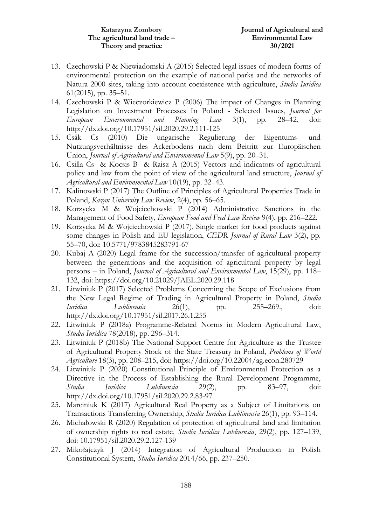- 13. Czechowski P & Niewiadomski A (2015) Selected legal issues of modern forms of environmental protection on the example of national parks and the networks of Natura 2000 sites, taking into account coexistence with agriculture, *Studia Iuridica* 61(2015), pp. 35–51.
- 14. Czechowski P & Wieczorkiewicz P (2006) The impact of Changes in Planning Legislation on Investment Processes In Poland - Selected Issues, *Journal for European Environmental and Planning Law* 3(1), pp. 28–42, doi: http://dx.doi.org/10.17951/sil.2020.29.2.111-125
- 15. Csák Cs (2010) Die ungarische Regulierung der Eigentums- und Nutzungsverhältnisse des Ackerbodens nach dem Beitritt zur Europäischen Union, *Journal of Agricultural and Environmental Law* 5(9), pp. 20–31.
- 16. Csilla Cs & Kocsis B & Raisz A (2015) Vectors and indicators of agricultural policy and law from the point of view of the agricultural land structure, *Journal of Agricultural and Environmental Law* 10(19), pp. 32–43.
- 17. Kalinowski P (2017) The Outline of Principles of Agricultural Properties Trade in Poland, *Kazan University Law Review*, 2(4), pp. 56–65.
- 18. Korzycka M & Wojciechowski P (2014) Administrative Sanctions in the Management of Food Safety, *European Food and Feed Law Review* 9(4), pp. 216–222.
- 19. Korzycka M & Wojciechowski P (2017), Single market for food products against some changes in Polish and EU legislation, *CEDR Journal of Rural Law* 3(2), pp. 55–70, doi: 10.5771/9783845283791-67
- 20. Kubaj A (2020) Legal frame for the succession/transfer of agricultural property between the generations and the acquisition of agricultural property by legal persons – in Poland, *Journal of Agricultural and Environmental Law*, 15(29), pp. 118– 132, doi: https://doi.org/10.21029/JAEL.2020.29.118
- 21. Litwiniuk P (2017) Selected Problems Concerning the Scope of Exclusions from the New Legal Regime of Trading in Agricultural Property in Poland, *Studia Iuridica Lublinensia* 26(1), pp. 255–269., doi: http://dx.doi.org/10.17951/sil.2017.26.1.255
- 22. Litwiniuk P (2018a) Programme-Related Norms in Modern Agricultural Law, *Studia Iuridica* 78(2018), pp. 296–314.
- 23. Litwiniuk P (2018b) The National Support Centre for Agriculture as the Trustee of Agricultural Property Stock of the State Treasury in Poland, *Problems of World Agriculture* 18(3), pp. 208–215, doi: https://doi.org/10.22004/ag.econ.280729
- 24. Litwiniuk P (2020) Constitutional Principle of Environmental Protection as a Directive in the Process of Establishing the Rural Development Programme, *Studia Iuridica Lublinensia* 29(2), pp. 83–97, doi: http://dx.doi.org/10.17951/sil.2020.29.2.83-97
- 25. Marciniuk K (2017) Agricultural Real Property as a Subject of Limitations on Transactions Transferring Ownership, *Studia Iuridica Lublinensia* 26(1), pp. 93–114.
- 26. Michałowski R (2020) Regulation of protection of agricultural land and limitation of ownership rights to real estate, *Studia Iuridica Lublinensia*, 29(2), pp. 127–139, doi: 10.17951/sil.2020.29.2.127-139
- 27. Mikołajczyk J (2014) Integration of Agricultural Production in Polish Constitutional System, *Studia Iuridica* 2014/66, pp. 237–250.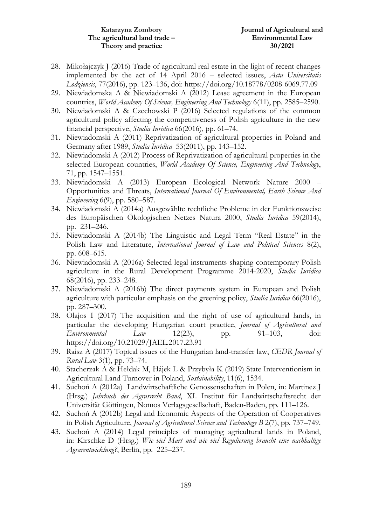- 28. Mikołajczyk J (2016) Trade of agricultural real estate in the light of recent changes implemented by the act of 14 April 2016 – selected issues, *Acta Universitatis Lodziensis*, 77(2016), pp. 123–136, doi: https://doi.org/10.18778/0208-6069.77.09
- 29. Niewiadomska A & Niewiadomski A (2012) Lease agreement in the European countries, *World Academy Of Science, Engineering And Technology* 6(11), pp. 2585–2590.
- 30. Niewiadomski A & Czechowski P (2016) Selected regulations of the common agricultural policy affecting the competitiveness of Polish agriculture in the new financial perspective, *Studia Iuridica* 66(2016), pp. 61–74.
- 31. Niewiadomski A (2011) Reprivatization of agricultural properties in Poland and Germany after 1989, *Studia Iuridica* 53(2011), pp. 143–152.
- 32. Niewiadomski A (2012) Process of Reprivatization of agricultural properties in the selected European countries, *World Academy Of Science, Engineering And Technology*, 71, pp. 1547–1551.
- 33. Niewiadomski A (2013) European Ecological Network Nature 2000 Opportunities and Threats, *International Journal Of Environmental, Earth Science And Engineering* 6(9), pp. 580–587.
- 34. Niewiadomski A (2014a) Ausgewählte rechtliche Probleme in der Funktionsweise des Europäischen Ökologischen Netzes Natura 2000, *Studia Iuridica* 59(2014), pp. 231–246.
- 35. Niewiadomski A (2014b) The Linguistic and Legal Term "Real Estate" in the Polish Law and Literature, *International Journal of Law and Political Sciences* 8(2), pp. 608–615.
- 36. Niewiadomski A (2016a) Selected legal instruments shaping contemporary Polish agriculture in the Rural Development Programme 2014-2020, *Studia Iuridica* 68(2016), pp. 233–248.
- 37. Niewiadomski A (2016b) The direct payments system in European and Polish agriculture with particular emphasis on the greening policy, *Studia Iuridica* 66(2016), pp. 287–300.
- 38. Olajos I (2017) The acquisition and the right of use of agricultural lands, in particular the developing Hungarian court practice, *Journal of Agricultural and Environmental Law* 12(23), pp. 91–103, doi: https://doi.org/10.21029/JAEL.2017.23.91
- 39. Raisz A (2017) Topical issues of the Hungarian land-transfer law, *CEDR Journal of Rural Law* 3(1), pp. 73–74.
- 40. Stacherzak A & Hełdak M, Hájek L & Przybyła K (2019) State Interventionism in Agricultural Land Turnover in Poland, *Sustainability*, 11(6), 1534.
- 41. Suchoń A (2012a) Landwirtschaftliche Genossenschaften in Polen, in: Martinez J (Hrsg.) *Jahrbuch des Agrarrecht Band*, XI. Institut für Landwirtschaftsrecht der Universität Göttingen, Nomos Verlagsgesellschaft, Baden-Baden, pp. 111–126.
- 42. Suchoń A (2012b) Legal and Economic Aspects of the Operation of Cooperatives in Polish Agriculture, *Journal of Agricultural Science and Technology B* 2(7), pp. 737–749.
- 43. Suchoń A (2014) Legal principles of managing agricultural lands in Poland, in: Kirschke D (Hrsg.) *Wie viel Mart und wie viel Regulierung braucht eine nachhaltige Agrarentwicklung?*, Berlin, pp. 225–237.